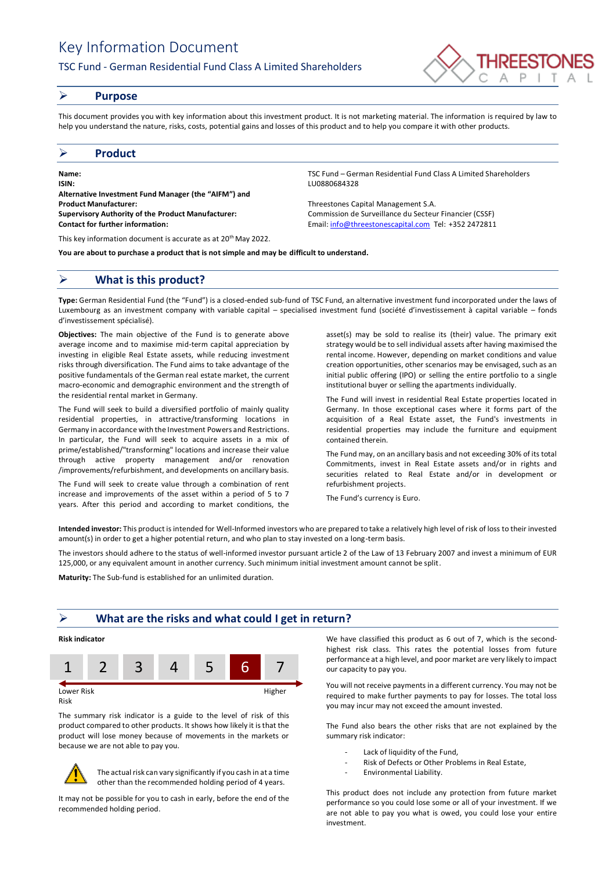# Key Information Document

## TSC Fund - German Residential Fund Class A Limited Shareholders



## ➢ **Purpose**

This document provides you with key information about this investment product. It is not marketing material. The information is required by law to help you understand the nature, risks, costs, potential gains and losses of this product and to help you compare it with other products.

## ➢ **Product**

**Name:** TSC Fund – German Residential Fund Class A Limited Shareholders **ISIN:** LU0880684328 **Alternative Investment Fund Manager (the "AIFM") and Product Manufacturer:** Threestones Capital Management S.A. **Supervisory Authority of the Product Manufacturer:** Commission de Surveillance du Secteur Financier (CSSF) **Contact for further information:** Email[: info@threestonescapital.com](mailto:info@threestonescapital.com) Tel: +352 2472811

This key information document is accurate as at 20th May 2022.

**You are about to purchase a product that is not simple and may be difficult to understand.**

# ➢ **What is this product?**

**Type:** German Residential Fund (the "Fund") is a closed-ended sub-fund of TSC Fund, an alternative investment fund incorporated under the laws of Luxembourg as an investment company with variable capital – specialised investment fund (société d'investissement à capital variable – fonds d'investissement spécialisé).

**Objectives:** The main objective of the Fund is to generate above average income and to maximise mid-term capital appreciation by investing in eligible Real Estate assets, while reducing investment risks through diversification. The Fund aims to take advantage of the positive fundamentals of the German real estate market, the current macro-economic and demographic environment and the strength of the residential rental market in Germany.

The Fund will seek to build a diversified portfolio of mainly quality residential properties, in attractive/transforming locations in Germany in accordance with the Investment Powers and Restrictions. In particular, the Fund will seek to acquire assets in a mix of prime/established/"transforming" locations and increase their value through active property management and/or renovation /improvements/refurbishment, and developments on ancillary basis.

The Fund will seek to create value through a combination of rent increase and improvements of the asset within a period of 5 to 7 years. After this period and according to market conditions, the

asset(s) may be sold to realise its (their) value. The primary exit strategy would be to sell individual assets after having maximised the rental income. However, depending on market conditions and value creation opportunities, other scenarios may be envisaged, such as an

initial public offering (IPO) or selling the entire portfolio to a single institutional buyer or selling the apartments individually. The Fund will invest in residential Real Estate properties located in Germany. In those exceptional cases where it forms part of the acquisition of a Real Estate asset, the Fund's investments in residential properties may include the furniture and equipment

The Fund may, on an ancillary basis and not exceeding 30% of its total Commitments, invest in Real Estate assets and/or in rights and securities related to Real Estate and/or in development or refurbishment projects.

The Fund's currency is Euro.

contained therein.

**Intended investor:** This product is intended for Well-Informed investors who are prepared to take a relatively high level of risk of loss to their invested amount(s) in order to get a higher potential return, and who plan to stay invested on a long-term basis.

The investors should adhere to the status of well-informed investor pursuant article 2 of the Law of 13 February 2007 and invest a minimum of EUR 125,000, or any equivalent amount in another currency. Such minimum initial investment amount cannot be split.

**Maturity:** The Sub-fund is established for an unlimited duration.

# ➢ **What are the risks and what could I get in return?**

# **Risk indicator**



Risk

The summary risk indicator is a guide to the level of risk of this product compared to other products. It shows how likely it is that the product will lose money because of movements in the markets or because we are not able to pay you.



The actual risk can vary significantly if you cash in at a time other than the recommended holding period of 4 years.

It may not be possible for you to cash in early, before the end of the recommended holding period.

We have classified this product as 6 out of 7, which is the secondhighest risk class. This rates the potential losses from future performance at a high level, and poor market are very likely to impact our capacity to pay you.

You will not receive payments in a different currency. You may not be required to make further payments to pay for losses. The total loss you may incur may not exceed the amount invested.

The Fund also bears the other risks that are not explained by the summary risk indicator:

- Lack of liquidity of the Fund,
- Risk of Defects or Other Problems in Real Estate,
- Environmental Liability.

This product does not include any protection from future market performance so you could lose some or all of your investment. If we are not able to pay you what is owed, you could lose your entire investment.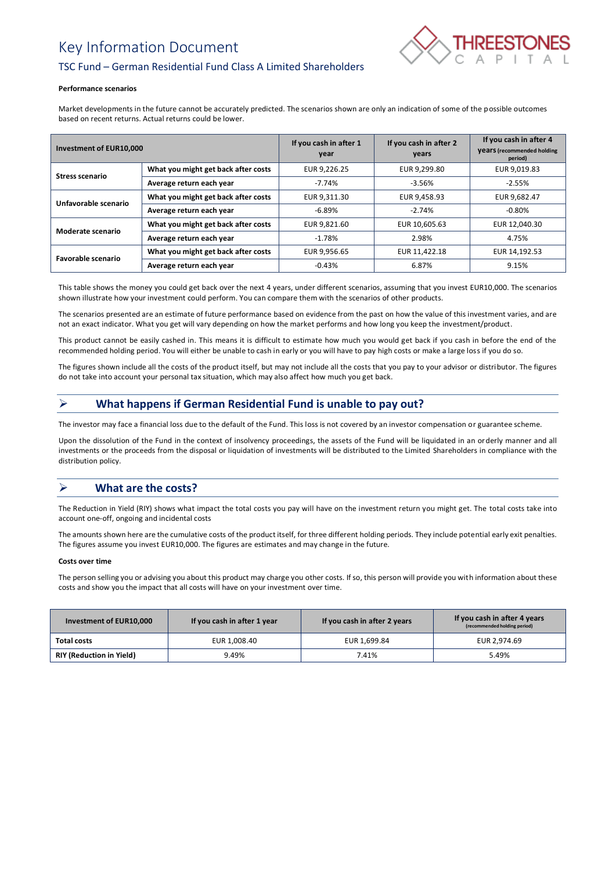# Key Information Document



# TSC Fund – German Residential Fund Class A Limited Shareholders

#### **Performance scenarios**

Market developments in the future cannot be accurately predicted. The scenarios shown are only an indication of some of the possible outcomes based on recent returns. Actual returns could be lower.

| Investment of EUR10,000 |                                     | If you cash in after 1<br>year | If you cash in after 2<br>years | If you cash in after 4<br><b>Vears</b> (recommended holding<br>period) |
|-------------------------|-------------------------------------|--------------------------------|---------------------------------|------------------------------------------------------------------------|
| <b>Stress scenario</b>  | What you might get back after costs | EUR 9,226.25                   | EUR 9.299.80                    | EUR 9,019.83                                                           |
|                         | Average return each year            | $-7.74%$                       | $-3.56%$                        | $-2.55%$                                                               |
| Unfavorable scenario    | What you might get back after costs | EUR 9,311.30                   | EUR 9,458.93                    | EUR 9.682.47                                                           |
|                         | Average return each year            | $-6.89\%$                      | $-2.74%$                        | $-0.80\%$                                                              |
| Moderate scenario       | What you might get back after costs | EUR 9.821.60                   | EUR 10,605.63                   | EUR 12,040.30                                                          |
|                         | Average return each year            | $-1.78%$                       | 2.98%                           | 4.75%                                                                  |
| Favorable scenario      | What you might get back after costs | EUR 9,956.65                   | EUR 11,422.18                   | EUR 14,192.53                                                          |
|                         | Average return each year            | $-0.43%$                       | 6.87%                           | 9.15%                                                                  |

This table shows the money you could get back over the next 4 years, under different scenarios, assuming that you invest EUR10,000. The scenarios shown illustrate how your investment could perform. You can compare them with the scenarios of other products.

The scenarios presented are an estimate of future performance based on evidence from the past on how the value of this investment varies, and are not an exact indicator. What you get will vary depending on how the market performs and how long you keep the investment/product.

This product cannot be easily cashed in. This means it is difficult to estimate how much you would get back if you cash in before the end of the recommended holding period. You will either be unable to cash in early or you will have to pay high costs or make a large loss if you do so.

The figures shown include all the costs of the product itself, but may not include all the costs that you pay to your advisor or distributor. The figures do not take into account your personal tax situation, which may also affect how much you get back.

# ➢ **What happens if German Residential Fund is unable to pay out?**

The investor may face a financial loss due to the default of the Fund. This loss is not covered by an investor compensation or guarantee scheme.

Upon the dissolution of the Fund in the context of insolvency proceedings, the assets of the Fund will be liquidated in an orderly manner and all investments or the proceeds from the disposal or liquidation of investments will be distributed to the Limited Shareholders in compliance with the distribution policy.

# ➢ **What are the costs?**

The Reduction in Yield (RIY) shows what impact the total costs you pay will have on the investment return you might get. The total costs take into account one-off, ongoing and incidental costs

The amounts shown here are the cumulative costs of the product itself, for three different holding periods. They include potential early exit penalties. The figures assume you invest EUR10,000. The figures are estimates and may change in the future.

### **Costs over time**

The person selling you or advising you about this product may charge you other costs. If so, this person will provide you with information about these costs and show you the impact that all costs will have on your investment over time.

| Investment of EUR10,000         | If you cash in after 1 year | If you cash in after 2 years | If you cash in after 4 years<br>(recommended holding period) |
|---------------------------------|-----------------------------|------------------------------|--------------------------------------------------------------|
| Total costs                     | EUR 1,008.40                | EUR 1,699.84                 | EUR 2.974.69                                                 |
| <b>RIY (Reduction in Yield)</b> | 9.49%                       | 7.41%                        | 5.49%                                                        |